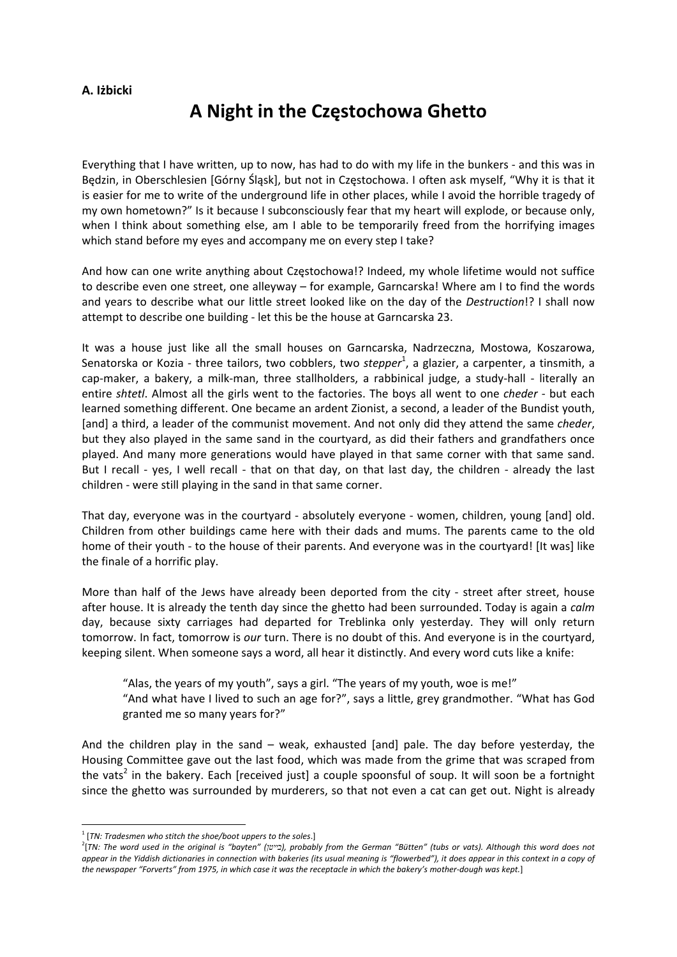## **A. Iżbicki**

## **A Night in the Częstochowa Ghetto**

Everything that I have written, up to now, has had to do with my life in the bunkers ‐ and this was in Będzin, in Oberschlesien [Górny Śląsk], but not in Częstochowa. I often ask myself, "Why it is that it is easier for me to write of the underground life in other places, while I avoid the horrible tragedy of my own hometown?" Is it because I subconsciously fear that my heart will explode, or because only, when I think about something else, am I able to be temporarily freed from the horrifying images which stand before my eyes and accompany me on every step I take?

And how can one write anything about Częstochowa!? Indeed, my whole lifetime would not suffice to describe even one street, one alleyway – for example, Garncarska! Where am I to find the words and years to describe what our little street looked like on the day of the *Destruction*!? I shall now attempt to describe one building ‐ let this be the house at Garncarska 23.

It was a house just like all the small houses on Garncarska, Nadrzeczna, Mostowa, Koszarowa, Senatorska or Kozia - three tailors, two cobblers, two *stepper*<sup>1</sup>, a glazier, a carpenter, a tinsmith, a cap-maker, a bakery, a milk-man, three stallholders, a rabbinical judge, a study-hall - literally an entire *shtetl*. Almost all the girls went to the factories. The boys all went to one *cheder* ‐ but each learned something different. One became an ardent Zionist, a second, a leader of the Bundist youth, [and] a third, a leader of the communist movement. And not only did they attend the same *cheder*, but they also played in the same sand in the courtyard, as did their fathers and grandfathers once played. And many more generations would have played in that same corner with that same sand. But I recall - yes, I well recall - that on that day, on that last day, the children - already the last children ‐ were still playing in the sand in that same corner.

That day, everyone was in the courtyard ‐ absolutely everyone ‐ women, children, young [and] old. Children from other buildings came here with their dads and mums. The parents came to the old home of their youth - to the house of their parents. And everyone was in the courtyard! [It was] like the finale of a horrific play.

More than half of the Jews have already been deported from the city - street after street, house after house. It is already the tenth day since the ghetto had been surrounded. Today is again a *calm* day, because sixty carriages had departed for Treblinka only yesterday. They will only return tomorrow. In fact, tomorrow is *our* turn. There is no doubt of this. And everyone is in the courtyard, keeping silent. When someone says a word, all hear it distinctly. And every word cuts like a knife:

"Alas, the years of my youth", says a girl. "The years of my youth, woe is me!" "And what have I lived to such an age for?", says a little, grey grandmother. "What has God granted me so many years for?"

And the children play in the sand – weak, exhausted [and] pale. The day before yesterday, the Housing Committee gave out the last food, which was made from the grime that was scraped from the vats<sup>2</sup> in the bakery. Each [received just] a couple spoonsful of soup. It will soon be a fortnight since the ghetto was surrounded by murderers, so that not even a cat can get out. Night is already

<sup>1</sup> [*TN: Tradesmen who stitch the shoe/boot uppers to the soles*.] <sup>2</sup>

<sup>&</sup>lt;sup>2</sup>[TN: The word used in the original is "bayten" (בייטן), probably from the German "Bütten" (tubs or vats). Although this word does not appear in the Yiddish dictionaries in connection with bakeries (its usual meaning is "flowerbed"), it does appear in this context in a copy of the newspaper "Forverts" from 1975, in which case it was the receptacle in which the bakery's mother-dough was kept.]